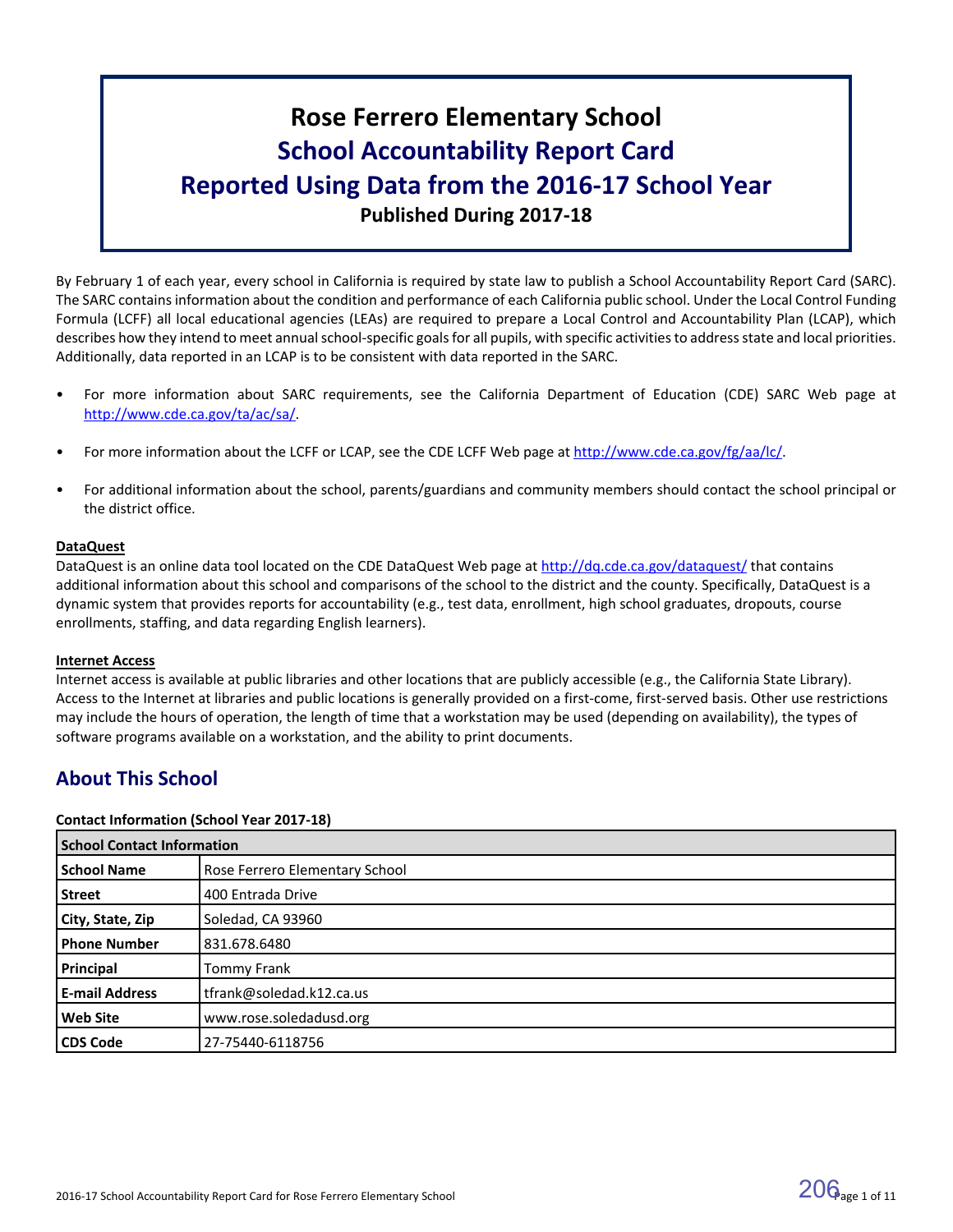# **Rose Ferrero Elementary School School Accountability Report Card Reported Using Data from the 2016-17 School Year Published During 2017-18**

By February 1 of each year, every school in California is required by state law to publish a School Accountability Report Card (SARC). The SARC contains information about the condition and performance of each California public school. Under the Local Control Funding Formula (LCFF) all local educational agencies (LEAs) are required to prepare a Local Control and Accountability Plan (LCAP), which describes how they intend to meet annual school-specific goals for all pupils, with specific activities to address state and local priorities. Additionally, data reported in an LCAP is to be consistent with data reported in the SARC.

- For more information about SARC requirements, see the California Department of Education (CDE) SARC Web page at [http://www.cde.ca.gov/ta/ac/sa/.](http://www.cde.ca.gov/ta/ac/sa/)
- For more information about the LCFF or LCAP, see the CDE LCFF Web page at [http://www.cde.ca.gov/fg/aa/lc/.](http://www.cde.ca.gov/fg/aa/lc/)
- For additional information about the school, parents/guardians and community members should contact the school principal or the district office.

#### **DataQuest**

DataQuest is an online data tool located on the CDE DataQuest Web page at <http://dq.cde.ca.gov/dataquest/> that contains additional information about this school and comparisons of the school to the district and the county. Specifically, DataQuest is a dynamic system that provides reports for accountability (e.g., test data, enrollment, high school graduates, dropouts, course enrollments, staffing, and data regarding English learners).

#### **Internet Access**

Internet access is available at public libraries and other locations that are publicly accessible (e.g., the California State Library). Access to the Internet at libraries and public locations is generally provided on a first-come, first-served basis. Other use restrictions may include the hours of operation, the length of time that a workstation may be used (depending on availability), the types of software programs available on a workstation, and the ability to print documents.

# **About This School**

#### **Contact Information (School Year 2017-18)**

| <b>School Contact Information</b> |                                |  |  |  |
|-----------------------------------|--------------------------------|--|--|--|
| <b>School Name</b>                | Rose Ferrero Elementary School |  |  |  |
| <b>Street</b>                     | 400 Entrada Drive              |  |  |  |
| City, State, Zip                  | Soledad, CA 93960              |  |  |  |
| <b>Phone Number</b>               | 831.678.6480                   |  |  |  |
| Principal                         | <b>Tommy Frank</b>             |  |  |  |
| <b>E-mail Address</b>             | tfrank@soledad.k12.ca.us       |  |  |  |
| <b>Web Site</b>                   | www.rose.soledadusd.org        |  |  |  |
| <b>CDS Code</b>                   | 27-75440-6118756               |  |  |  |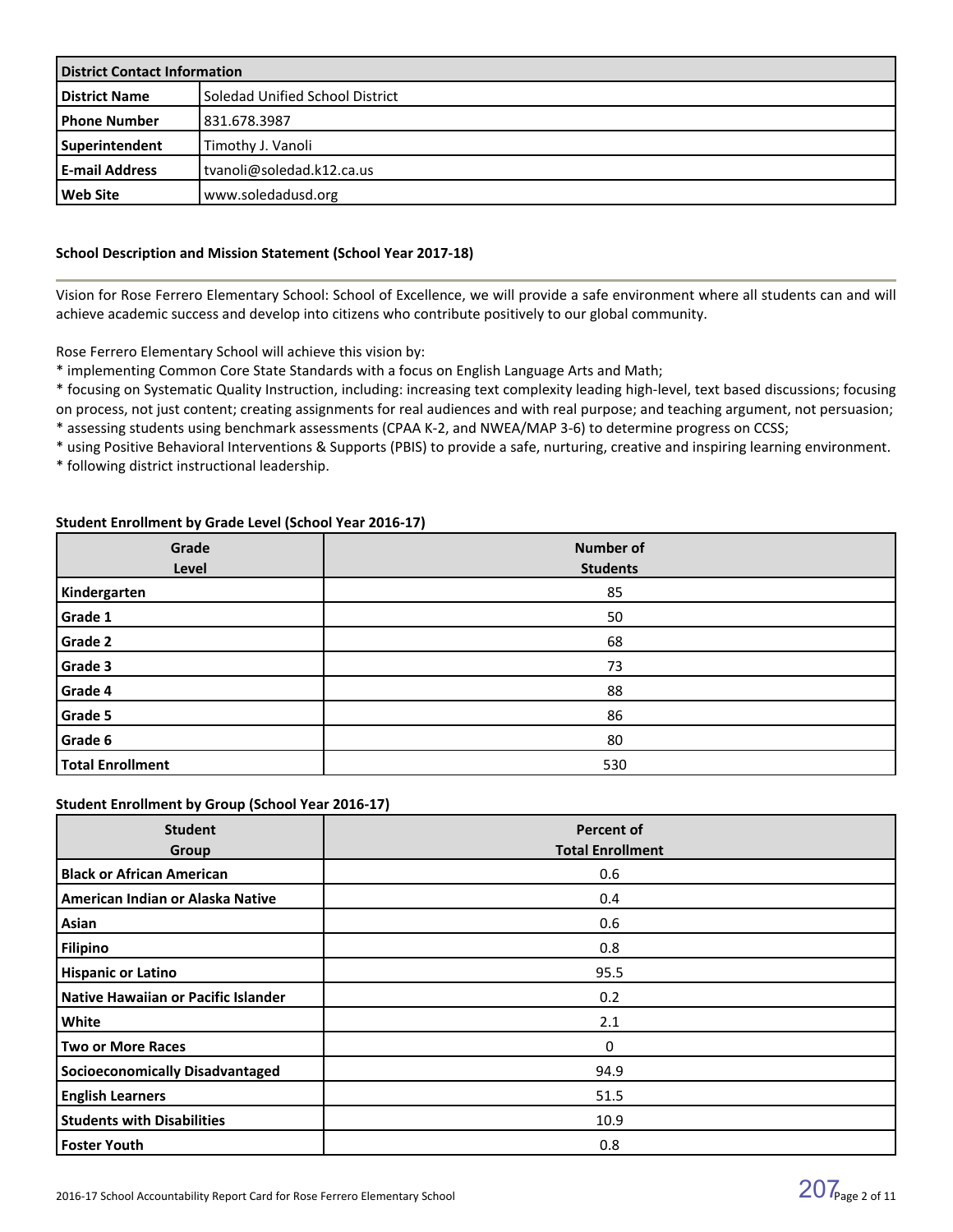| <b>District Contact Information</b> |                                 |  |  |
|-------------------------------------|---------------------------------|--|--|
| <b>District Name</b>                | Soledad Unified School District |  |  |
| l Phone Number                      | 831.678.3987                    |  |  |
| <b>Superintendent</b>               | Timothy J. Vanoli               |  |  |
| <b>E-mail Address</b>               | l tvanoli@soledad.k12.ca.us     |  |  |
| l Web Site                          | www.soledadusd.org              |  |  |

#### **School Description and Mission Statement (School Year 2017-18)**

Vision for Rose Ferrero Elementary School: School of Excellence, we will provide a safe environment where all students can and will achieve academic success and develop into citizens who contribute positively to our global community.

Rose Ferrero Elementary School will achieve this vision by:

\* implementing Common Core State Standards with a focus on English Language Arts and Math;

\* focusing on Systematic Quality Instruction, including: increasing text complexity leading high-level, text based discussions; focusing on process, not just content; creating assignments for real audiences and with real purpose; and teaching argument, not persuasion;

\* assessing students using benchmark assessments (CPAA K-2, and NWEA/MAP 3-6) to determine progress on CCSS;

\* using Positive Behavioral Interventions & Supports (PBIS) to provide a safe, nurturing, creative and inspiring learning environment. \* following district instructional leadership.

#### **Student Enrollment by Grade Level (School Year 2016-17)**

| Grade<br>Level          | <b>Number of</b><br><b>Students</b> |
|-------------------------|-------------------------------------|
| Kindergarten            | 85                                  |
| Grade 1                 | 50                                  |
| Grade 2                 | 68                                  |
| Grade 3                 | 73                                  |
| Grade 4                 | 88                                  |
| Grade 5                 | 86                                  |
| Grade 6                 | 80                                  |
| <b>Total Enrollment</b> | 530                                 |

#### **Student Enrollment by Group (School Year 2016-17)**

| <b>Student</b><br>Group                | <b>Percent of</b><br><b>Total Enrollment</b> |
|----------------------------------------|----------------------------------------------|
| <b>Black or African American</b>       | 0.6                                          |
| American Indian or Alaska Native       | 0.4                                          |
| Asian                                  | 0.6                                          |
| <b>Filipino</b>                        | 0.8                                          |
| <b>Hispanic or Latino</b>              | 95.5                                         |
| Native Hawaiian or Pacific Islander    | 0.2                                          |
| White                                  | 2.1                                          |
| <b>Two or More Races</b>               | $\Omega$                                     |
| <b>Socioeconomically Disadvantaged</b> | 94.9                                         |
| <b>English Learners</b>                | 51.5                                         |
| <b>Students with Disabilities</b>      | 10.9                                         |
| <b>Foster Youth</b>                    | 0.8                                          |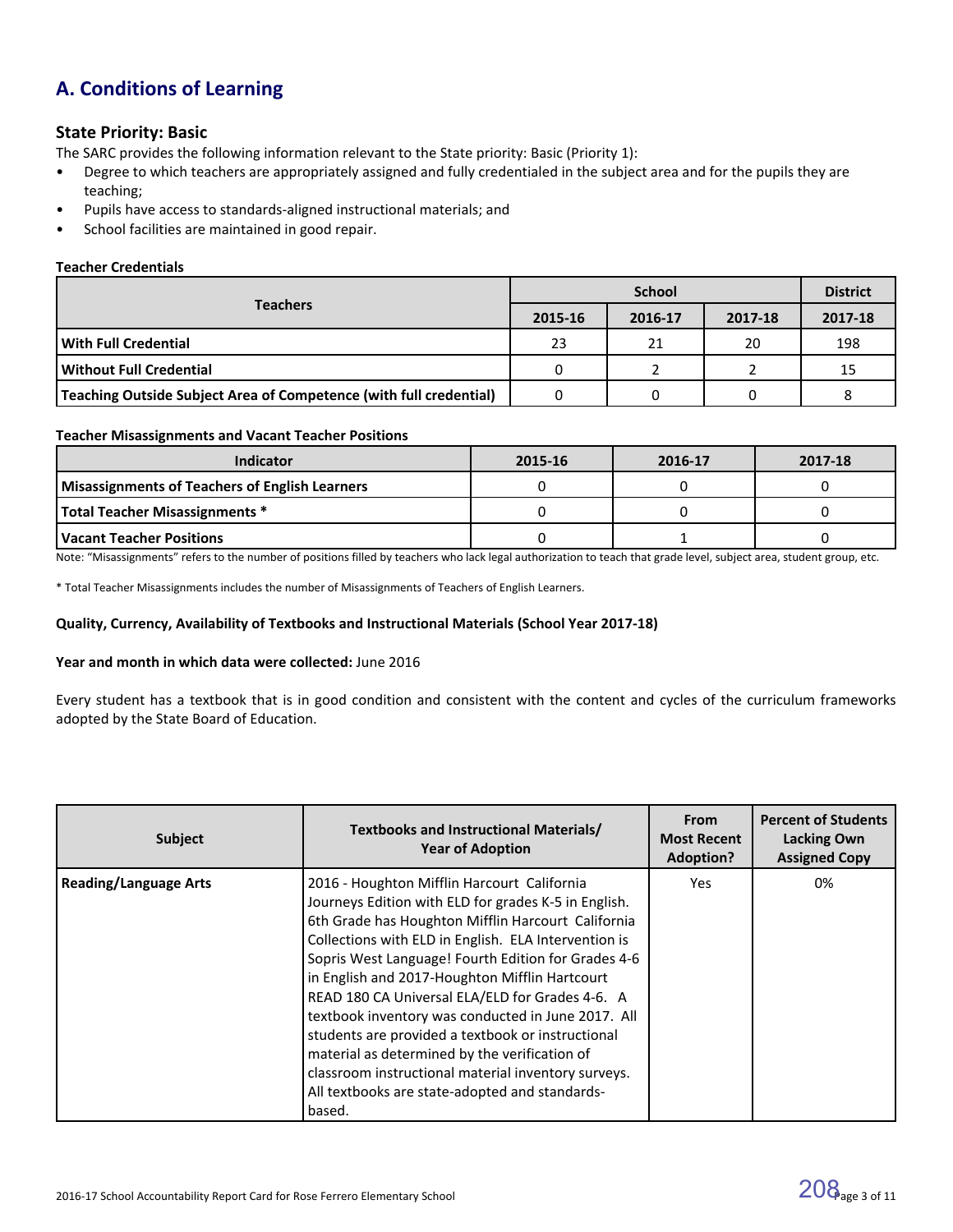# **A. Conditions of Learning**

### **State Priority: Basic**

The SARC provides the following information relevant to the State priority: Basic (Priority 1):

- Degree to which teachers are appropriately assigned and fully credentialed in the subject area and for the pupils they are teaching;
- Pupils have access to standards-aligned instructional materials; and
- School facilities are maintained in good repair.

#### **Teacher Credentials**

|                                                                    |         | <b>District</b> |         |         |
|--------------------------------------------------------------------|---------|-----------------|---------|---------|
| <b>Teachers</b>                                                    | 2015-16 | 2016-17         | 2017-18 | 2017-18 |
| With Full Credential                                               | 23      | 21              | 20      | 198     |
| Without Full Credential                                            |         |                 |         | 15      |
| Teaching Outside Subject Area of Competence (with full credential) |         |                 |         |         |

#### **Teacher Misassignments and Vacant Teacher Positions**

| <b>Indicator</b>                               | 2015-16 | 2016-17 | 2017-18 |
|------------------------------------------------|---------|---------|---------|
| Misassignments of Teachers of English Learners |         |         |         |
| Total Teacher Misassignments *                 |         |         |         |
| l Vacant Teacher Positions                     |         |         |         |

Note: "Misassignments" refers to the number of positions filled by teachers who lack legal authorization to teach that grade level, subject area, student group, etc.

\* Total Teacher Misassignments includes the number of Misassignments of Teachers of English Learners.

#### **Quality, Currency, Availability of Textbooks and Instructional Materials (School Year 2017-18)**

#### **Year and month in which data were collected:** June 2016

Every student has a textbook that is in good condition and consistent with the content and cycles of the curriculum frameworks adopted by the State Board of Education.

| <b>Subject</b>               | <b>Textbooks and Instructional Materials/</b><br><b>Year of Adoption</b>                                                                                                                                                                                                                                                                                                                                                                                                                                                                                                                                                                                     | <b>From</b><br><b>Most Recent</b><br><b>Adoption?</b> | <b>Percent of Students</b><br><b>Lacking Own</b><br><b>Assigned Copy</b> |
|------------------------------|--------------------------------------------------------------------------------------------------------------------------------------------------------------------------------------------------------------------------------------------------------------------------------------------------------------------------------------------------------------------------------------------------------------------------------------------------------------------------------------------------------------------------------------------------------------------------------------------------------------------------------------------------------------|-------------------------------------------------------|--------------------------------------------------------------------------|
| <b>Reading/Language Arts</b> | 2016 - Houghton Mifflin Harcourt California<br>Journeys Edition with ELD for grades K-5 in English.<br>6th Grade has Houghton Mifflin Harcourt California<br>Collections with ELD in English. ELA Intervention is<br>Sopris West Language! Fourth Edition for Grades 4-6<br>in English and 2017-Houghton Mifflin Hartcourt<br>READ 180 CA Universal ELA/ELD for Grades 4-6. A<br>textbook inventory was conducted in June 2017. All<br>students are provided a textbook or instructional<br>material as determined by the verification of<br>classroom instructional material inventory surveys.<br>All textbooks are state-adopted and standards-<br>based. | Yes.                                                  | 0%                                                                       |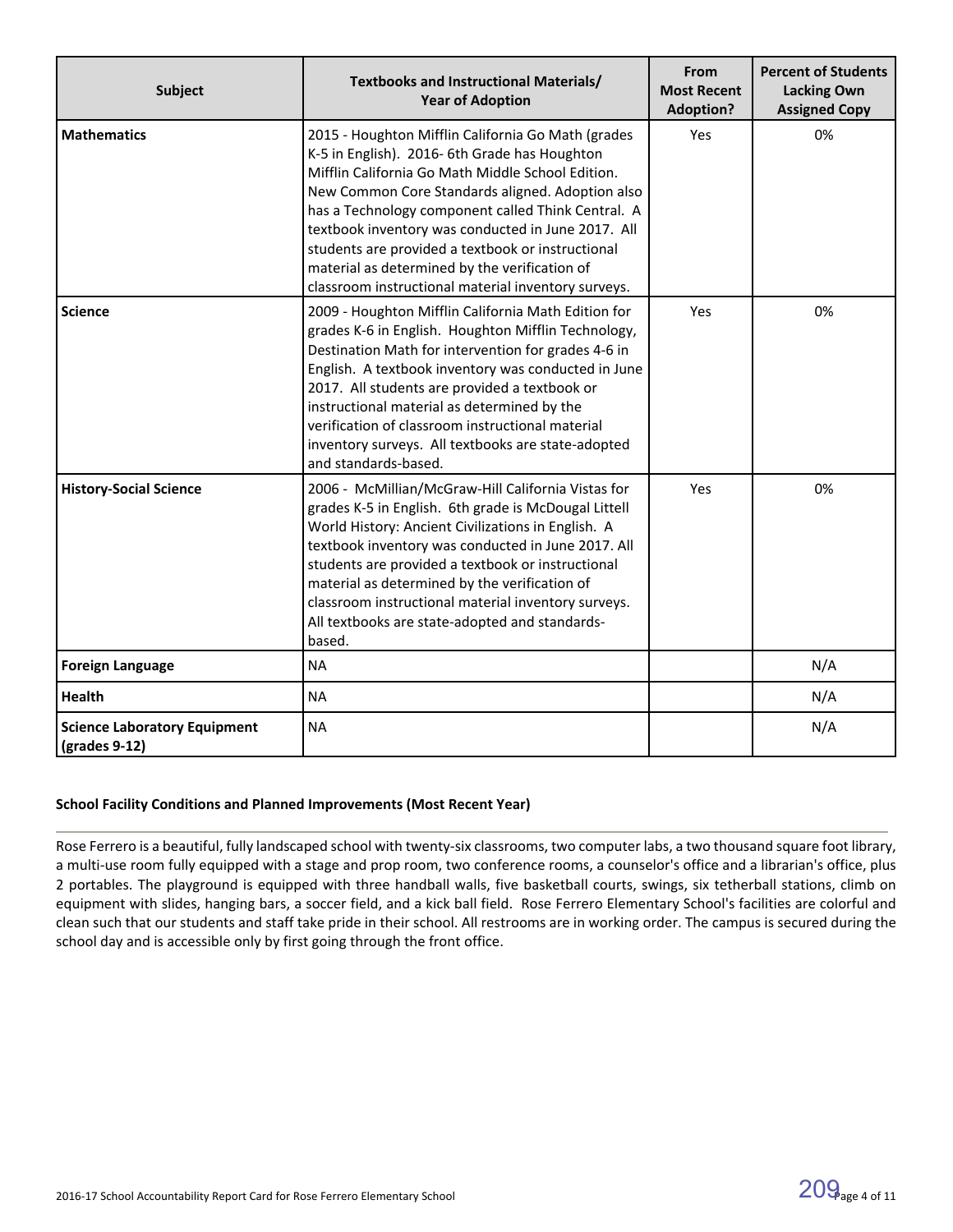| <b>Subject</b>                                         | Textbooks and Instructional Materials/<br><b>Year of Adoption</b>                                                                                                                                                                                                                                                                                                                                                                                                                     | From<br><b>Most Recent</b><br><b>Adoption?</b> | <b>Percent of Students</b><br><b>Lacking Own</b><br><b>Assigned Copy</b> |
|--------------------------------------------------------|---------------------------------------------------------------------------------------------------------------------------------------------------------------------------------------------------------------------------------------------------------------------------------------------------------------------------------------------------------------------------------------------------------------------------------------------------------------------------------------|------------------------------------------------|--------------------------------------------------------------------------|
| <b>Mathematics</b>                                     | 2015 - Houghton Mifflin California Go Math (grades<br>K-5 in English). 2016- 6th Grade has Houghton<br>Mifflin California Go Math Middle School Edition.<br>New Common Core Standards aligned. Adoption also<br>has a Technology component called Think Central. A<br>textbook inventory was conducted in June 2017. All<br>students are provided a textbook or instructional<br>material as determined by the verification of<br>classroom instructional material inventory surveys. | Yes                                            | 0%                                                                       |
| <b>Science</b>                                         | 2009 - Houghton Mifflin California Math Edition for<br>grades K-6 in English. Houghton Mifflin Technology,<br>Destination Math for intervention for grades 4-6 in<br>English. A textbook inventory was conducted in June<br>2017. All students are provided a textbook or<br>instructional material as determined by the<br>verification of classroom instructional material<br>inventory surveys. All textbooks are state-adopted<br>and standards-based.                            | Yes                                            | 0%                                                                       |
| <b>History-Social Science</b>                          | 2006 - McMillian/McGraw-Hill California Vistas for<br>grades K-5 in English. 6th grade is McDougal Littell<br>World History: Ancient Civilizations in English. A<br>textbook inventory was conducted in June 2017. All<br>students are provided a textbook or instructional<br>material as determined by the verification of<br>classroom instructional material inventory surveys.<br>All textbooks are state-adopted and standards-<br>based.                                       | Yes                                            | 0%                                                                       |
| <b>Foreign Language</b>                                | <b>NA</b>                                                                                                                                                                                                                                                                                                                                                                                                                                                                             |                                                | N/A                                                                      |
| Health                                                 | <b>NA</b>                                                                                                                                                                                                                                                                                                                                                                                                                                                                             |                                                | N/A                                                                      |
| <b>Science Laboratory Equipment</b><br>$(grades 9-12)$ | <b>NA</b>                                                                                                                                                                                                                                                                                                                                                                                                                                                                             |                                                | N/A                                                                      |

#### **School Facility Conditions and Planned Improvements (Most Recent Year)**

Rose Ferrero is a beautiful, fully landscaped school with twenty-six classrooms, two computer labs, a two thousand square foot library, a multi-use room fully equipped with a stage and prop room, two conference rooms, a counselor's office and a librarian's office, plus 2 portables. The playground is equipped with three handball walls, five basketball courts, swings, six tetherball stations, climb on equipment with slides, hanging bars, a soccer field, and a kick ball field. Rose Ferrero Elementary School's facilities are colorful and clean such that our students and staff take pride in their school. All restrooms are in working order. The campus is secured during the school day and is accessible only by first going through the front office.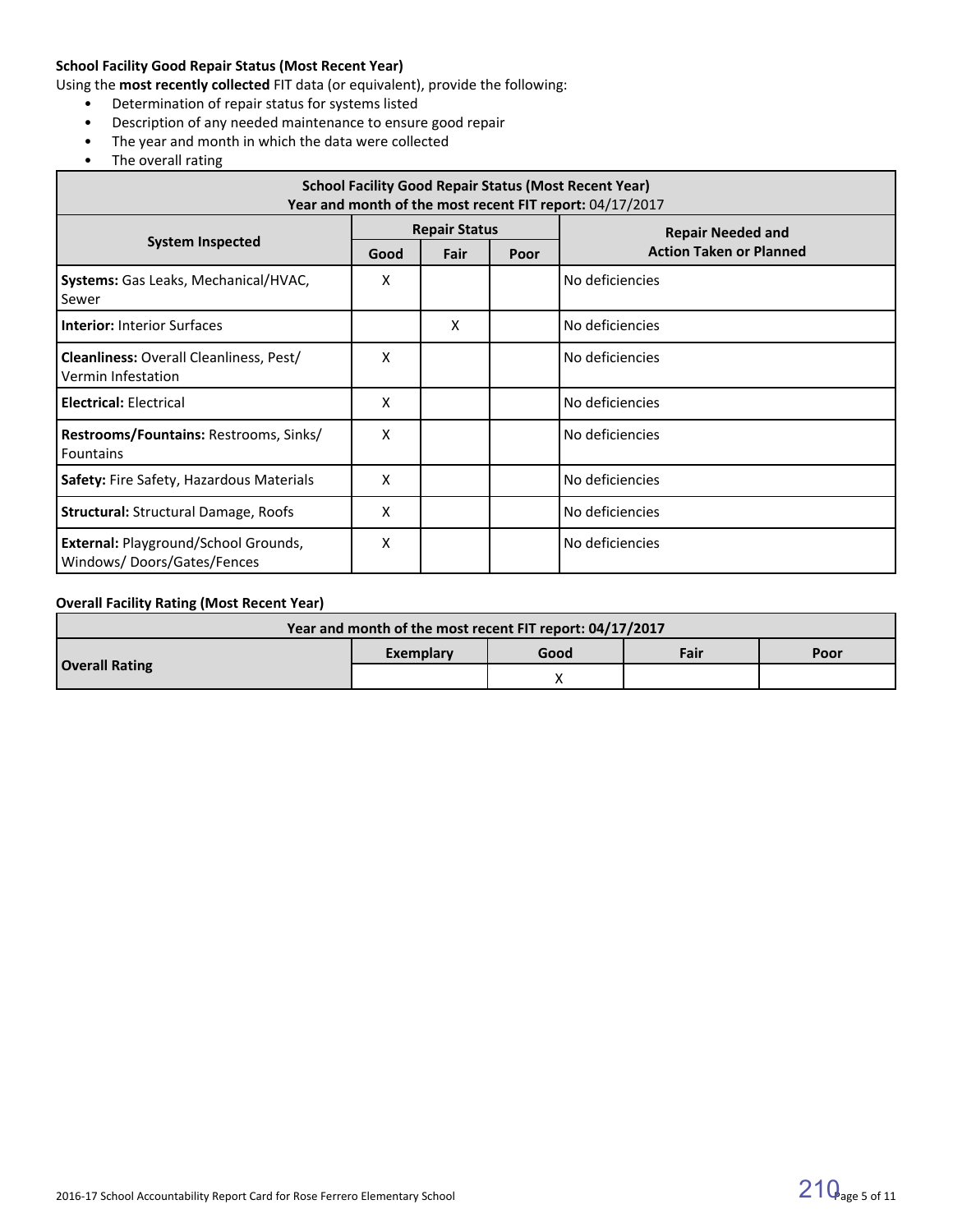#### **School Facility Good Repair Status (Most Recent Year)**

Using the **most recently collected** FIT data (or equivalent), provide the following:

- Determination of repair status for systems listed
- Description of any needed maintenance to ensure good repair
- The year and month in which the data were collected
- The overall rating

| <b>School Facility Good Repair Status (Most Recent Year)</b><br>Year and month of the most recent FIT report: 04/17/2017 |                      |      |      |                                |  |  |  |
|--------------------------------------------------------------------------------------------------------------------------|----------------------|------|------|--------------------------------|--|--|--|
|                                                                                                                          | <b>Repair Status</b> |      |      | <b>Repair Needed and</b>       |  |  |  |
| <b>System Inspected</b>                                                                                                  | Good                 | Fair | Poor | <b>Action Taken or Planned</b> |  |  |  |
| Systems: Gas Leaks, Mechanical/HVAC,<br>Sewer                                                                            | х                    |      |      | No deficiencies                |  |  |  |
| <b>Interior: Interior Surfaces</b>                                                                                       |                      | X    |      | No deficiencies                |  |  |  |
| <b>Cleanliness: Overall Cleanliness, Pest/</b><br>Vermin Infestation                                                     | x                    |      |      | No deficiencies                |  |  |  |
| <b>Electrical: Electrical</b>                                                                                            | x                    |      |      | No deficiencies                |  |  |  |
| Restrooms/Fountains: Restrooms, Sinks/<br><b>Fountains</b>                                                               | x                    |      |      | No deficiencies                |  |  |  |
| Safety: Fire Safety, Hazardous Materials                                                                                 | x                    |      |      | No deficiencies                |  |  |  |
| <b>Structural: Structural Damage, Roofs</b>                                                                              | x                    |      |      | No deficiencies                |  |  |  |
| External: Playground/School Grounds,<br>Windows/Doors/Gates/Fences                                                       | x                    |      |      | No deficiencies                |  |  |  |

#### **Overall Facility Rating (Most Recent Year)**

| Year and month of the most recent FIT report: 04/17/2017 |           |      |      |      |  |  |
|----------------------------------------------------------|-----------|------|------|------|--|--|
|                                                          | Exemplary | Good | Fair | Poor |  |  |
| <b>Overall Rating</b>                                    |           |      |      |      |  |  |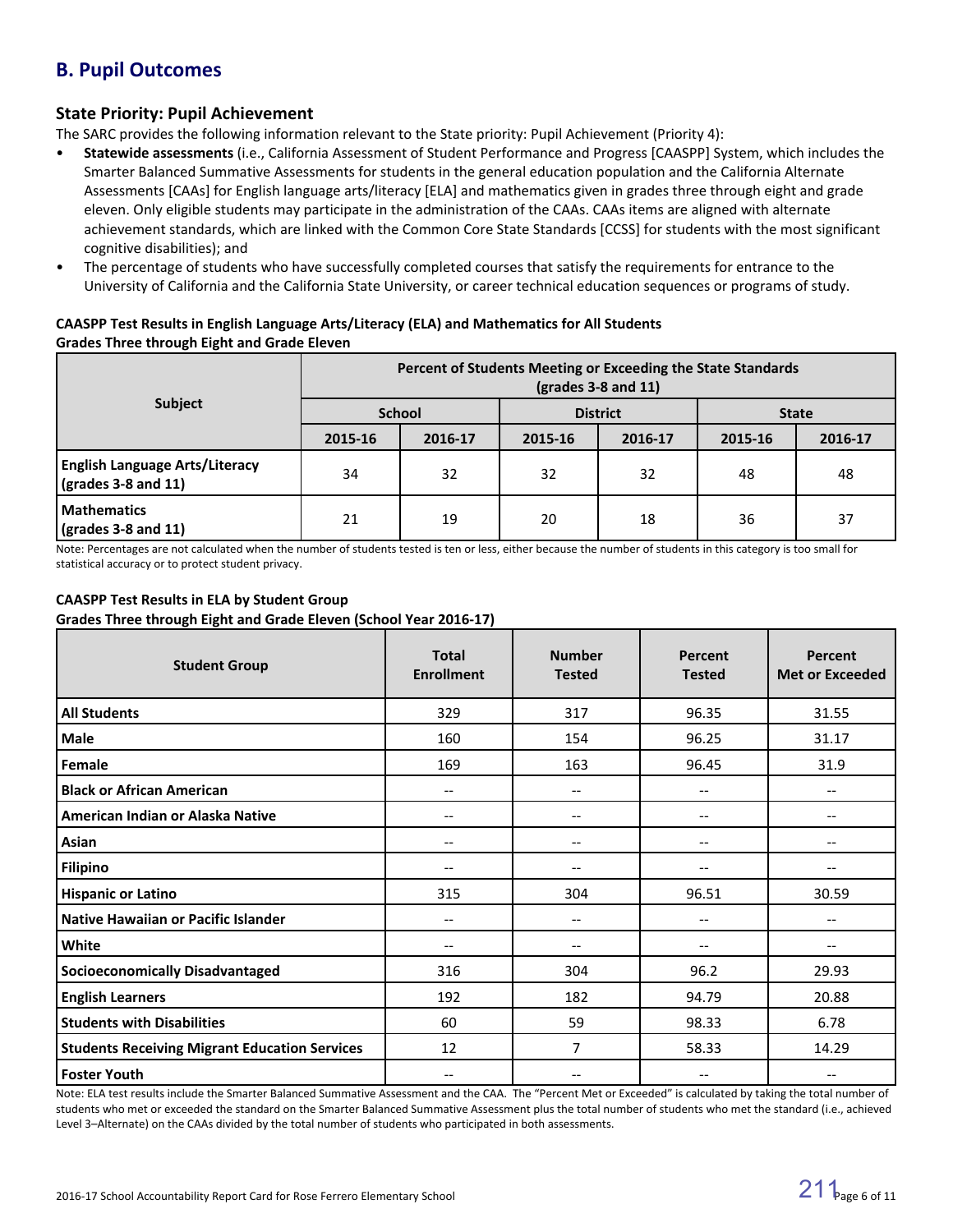# **B. Pupil Outcomes**

### **State Priority: Pupil Achievement**

The SARC provides the following information relevant to the State priority: Pupil Achievement (Priority 4):

- **Statewide assessments** (i.e., California Assessment of Student Performance and Progress [CAASPP] System, which includes the Smarter Balanced Summative Assessments for students in the general education population and the California Alternate Assessments [CAAs] for English language arts/literacy [ELA] and mathematics given in grades three through eight and grade eleven. Only eligible students may participate in the administration of the CAAs. CAAs items are aligned with alternate achievement standards, which are linked with the Common Core State Standards [CCSS] for students with the most significant cognitive disabilities); and
- The percentage of students who have successfully completed courses that satisfy the requirements for entrance to the University of California and the California State University, or career technical education sequences or programs of study.

#### **CAASPP Test Results in English Language Arts/Literacy (ELA) and Mathematics for All Students Grades Three through Eight and Grade Eleven**

|                                                                            | Percent of Students Meeting or Exceeding the State Standards<br>$\left(\text{grades }3-8\right)$ and 11) |         |                 |         |              |         |
|----------------------------------------------------------------------------|----------------------------------------------------------------------------------------------------------|---------|-----------------|---------|--------------|---------|
| Subject                                                                    | <b>School</b>                                                                                            |         | <b>District</b> |         | <b>State</b> |         |
|                                                                            | 2015-16                                                                                                  | 2016-17 | 2015-16         | 2016-17 | 2015-16      | 2016-17 |
| <b>English Language Arts/Literacy</b><br>$\frac{1}{2}$ (grades 3-8 and 11) | 34                                                                                                       | 32      | 32              | 32      | 48           | 48      |
| <b>Mathematics</b><br>$\sqrt{(grades 3-8 and 11)}$                         | 21                                                                                                       | 19      | 20              | 18      | 36           | 37      |

Note: Percentages are not calculated when the number of students tested is ten or less, either because the number of students in this category is too small for statistical accuracy or to protect student privacy.

# **CAASPP Test Results in ELA by Student Group**

**Grades Three through Eight and Grade Eleven (School Year 2016-17)**

| <b>Student Group</b>                                 | <b>Total</b><br><b>Enrollment</b>     | <b>Number</b><br><b>Tested</b> | Percent<br><b>Tested</b>              | Percent<br><b>Met or Exceeded</b>     |
|------------------------------------------------------|---------------------------------------|--------------------------------|---------------------------------------|---------------------------------------|
| <b>All Students</b>                                  | 329                                   | 317                            | 96.35                                 | 31.55                                 |
| <b>Male</b>                                          | 160                                   | 154                            | 96.25                                 | 31.17                                 |
| Female                                               | 169                                   | 163                            | 96.45                                 | 31.9                                  |
| <b>Black or African American</b>                     | $\qquad \qquad -$                     | $-$                            | --                                    | --                                    |
| American Indian or Alaska Native                     | $\hspace{0.05cm}$ – $\hspace{0.05cm}$ | $-\!$ $\!-$                    | $\hspace{0.05cm}$ – $\hspace{0.05cm}$ | --                                    |
| Asian                                                | --                                    | $\qquad \qquad -$              | --                                    | --                                    |
| <b>Filipino</b>                                      | --                                    | $\qquad \qquad -$              | --                                    |                                       |
| <b>Hispanic or Latino</b>                            | 315                                   | 304                            | 96.51                                 | 30.59                                 |
| <b>Native Hawaiian or Pacific Islander</b>           | --                                    | $-$                            | --                                    |                                       |
| White                                                | --                                    | --                             | --                                    |                                       |
| <b>Socioeconomically Disadvantaged</b>               | 316                                   | 304                            | 96.2                                  | 29.93                                 |
| <b>English Learners</b>                              | 192                                   | 182                            | 94.79                                 | 20.88                                 |
| <b>Students with Disabilities</b>                    | 60                                    | 59                             | 98.33                                 | 6.78                                  |
| <b>Students Receiving Migrant Education Services</b> | 12                                    | 7                              | 58.33                                 | 14.29                                 |
| <b>Foster Youth</b>                                  | $\hspace{0.05cm}$ – $\hspace{0.05cm}$ | $\qquad \qquad -$              | $\qquad \qquad -$                     | $\hspace{0.05cm}$ – $\hspace{0.05cm}$ |

Note: ELA test results include the Smarter Balanced Summative Assessment and the CAA. The "Percent Met or Exceeded" is calculated by taking the total number of students who met or exceeded the standard on the Smarter Balanced Summative Assessment plus the total number of students who met the standard (i.e., achieved Level 3–Alternate) on the CAAs divided by the total number of students who participated in both assessments.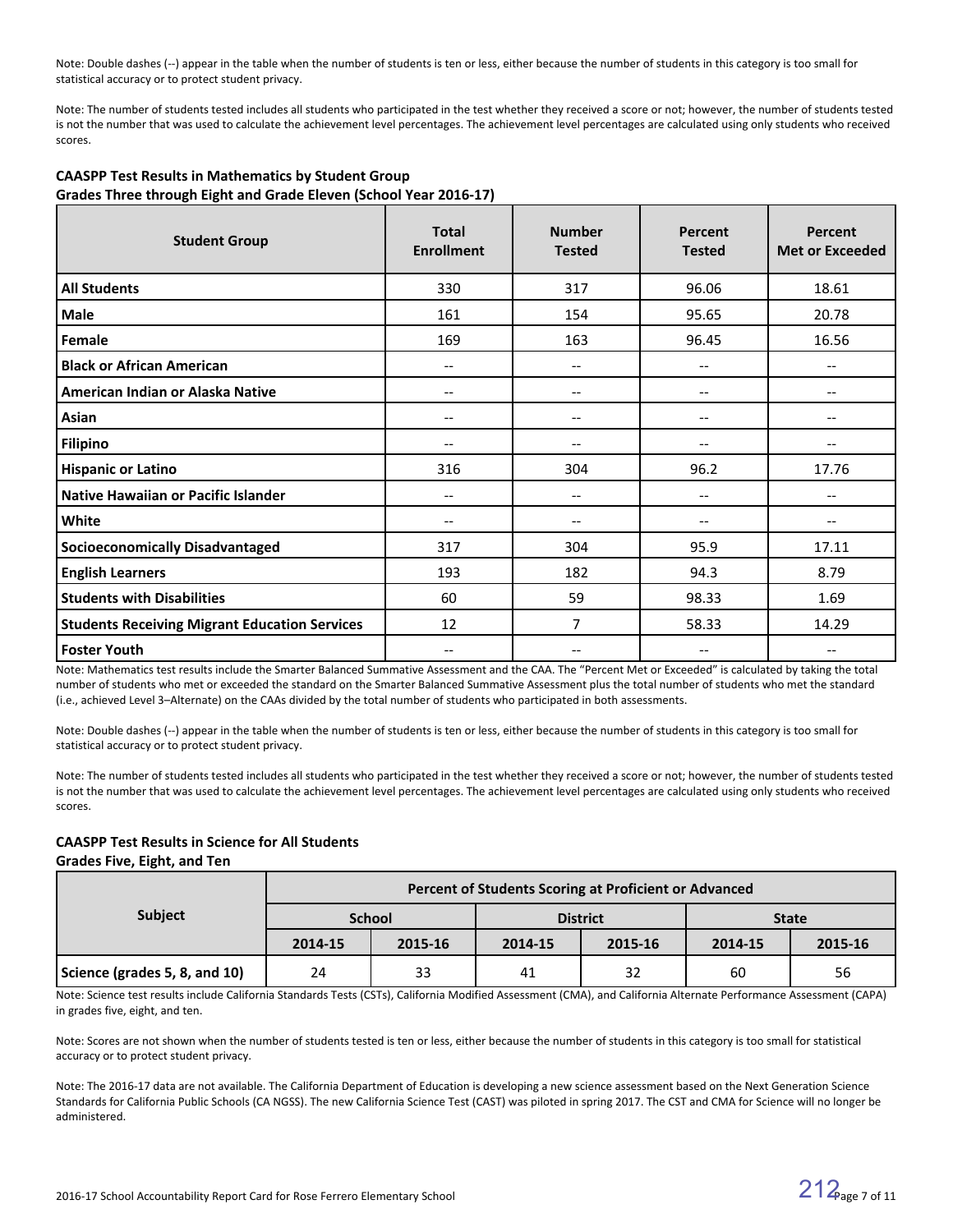Note: Double dashes (--) appear in the table when the number of students is ten or less, either because the number of students in this category is too small for statistical accuracy or to protect student privacy.

Note: The number of students tested includes all students who participated in the test whether they received a score or not; however, the number of students tested is not the number that was used to calculate the achievement level percentages. The achievement level percentages are calculated using only students who received scores.

| ee  evg = g a e =   ,e  =<br><b>Student Group</b>    | <b>Total</b><br><b>Enrollment</b> | <b>Number</b><br><b>Tested</b> | Percent<br><b>Tested</b> | Percent<br><b>Met or Exceeded</b> |
|------------------------------------------------------|-----------------------------------|--------------------------------|--------------------------|-----------------------------------|
| <b>All Students</b>                                  | 330                               | 317                            | 96.06                    | 18.61                             |
| <b>Male</b>                                          | 161                               | 154                            | 95.65                    | 20.78                             |
| Female                                               | 169                               | 163                            | 96.45                    | 16.56                             |
| <b>Black or African American</b>                     | --                                | $-$                            | --                       |                                   |
| American Indian or Alaska Native                     | --                                | $\overline{\phantom{m}}$       | --                       | --                                |
| Asian                                                |                                   | $\qquad \qquad -$              | --                       |                                   |
| <b>Filipino</b>                                      |                                   |                                |                          |                                   |
| <b>Hispanic or Latino</b>                            | 316                               | 304                            | 96.2                     | 17.76                             |
| Native Hawaiian or Pacific Islander                  | --                                | $\qquad \qquad -$              | --                       |                                   |
| White                                                | --                                | $-\!$ $\!-$                    | --                       | --                                |
| <b>Socioeconomically Disadvantaged</b>               | 317                               | 304                            | 95.9                     | 17.11                             |
| <b>English Learners</b>                              | 193                               | 182                            | 94.3                     | 8.79                              |
| <b>Students with Disabilities</b>                    | 60                                | 59                             | 98.33                    | 1.69                              |
| <b>Students Receiving Migrant Education Services</b> | 12                                | 7                              | 58.33                    | 14.29                             |
| <b>Foster Youth</b>                                  | --                                | $-$                            | --                       |                                   |

#### **CAASPP Test Results in Mathematics by Student Group Grades Three through Eight and Grade Eleven (School Year 2016-17)**

Note: Mathematics test results include the Smarter Balanced Summative Assessment and the CAA. The "Percent Met or Exceeded" is calculated by taking the total number of students who met or exceeded the standard on the Smarter Balanced Summative Assessment plus the total number of students who met the standard (i.e., achieved Level 3–Alternate) on the CAAs divided by the total number of students who participated in both assessments.

Note: Double dashes (--) appear in the table when the number of students is ten or less, either because the number of students in this category is too small for statistical accuracy or to protect student privacy.

Note: The number of students tested includes all students who participated in the test whether they received a score or not; however, the number of students tested is not the number that was used to calculate the achievement level percentages. The achievement level percentages are calculated using only students who received scores.

#### **CAASPP Test Results in Science for All Students**

#### **Grades Five, Eight, and Ten**

|                               | Percent of Students Scoring at Proficient or Advanced |               |         |                 |              |         |  |  |  |
|-------------------------------|-------------------------------------------------------|---------------|---------|-----------------|--------------|---------|--|--|--|
| <b>Subject</b>                |                                                       | <b>School</b> |         | <b>District</b> | <b>State</b> |         |  |  |  |
|                               | 2014-15                                               | 2015-16       | 2014-15 | 2015-16         | 2014-15      | 2015-16 |  |  |  |
| Science (grades 5, 8, and 10) | 24                                                    | 33            | 41      | 32              | 60           | 56      |  |  |  |

Note: Science test results include California Standards Tests (CSTs), California Modified Assessment (CMA), and California Alternate Performance Assessment (CAPA) in grades five, eight, and ten.

Note: Scores are not shown when the number of students tested is ten or less, either because the number of students in this category is too small for statistical accuracy or to protect student privacy.

Note: The 2016-17 data are not available. The California Department of Education is developing a new science assessment based on the Next Generation Science Standards for California Public Schools (CA NGSS). The new California Science Test (CAST) was piloted in spring 2017. The CST and CMA for Science will no longer be administered.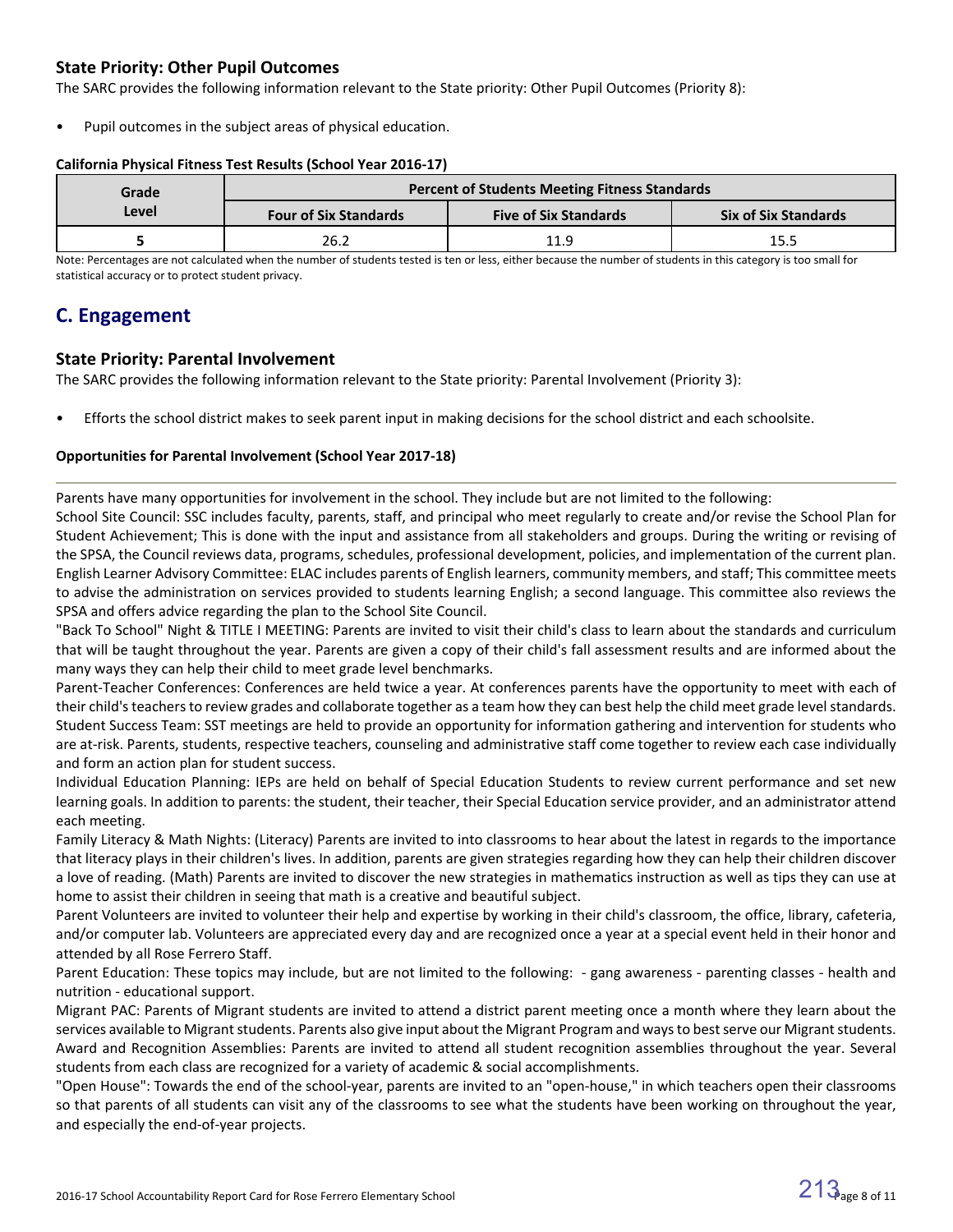### **State Priority: Other Pupil Outcomes**

The SARC provides the following information relevant to the State priority: Other Pupil Outcomes (Priority 8):

Pupil outcomes in the subject areas of physical education.

#### **California Physical Fitness Test Results (School Year 2016-17)**

| Grade | <b>Percent of Students Meeting Fitness Standards</b> |                              |                             |  |  |  |
|-------|------------------------------------------------------|------------------------------|-----------------------------|--|--|--|
| Level | <b>Four of Six Standards</b>                         | <b>Five of Six Standards</b> | <b>Six of Six Standards</b> |  |  |  |
|       | 26.2                                                 | 11.9                         | 15.5                        |  |  |  |

Note: Percentages are not calculated when the number of students tested is ten or less, either because the number of students in this category is too small for statistical accuracy or to protect student privacy.

## **C. Engagement**

### **State Priority: Parental Involvement**

The SARC provides the following information relevant to the State priority: Parental Involvement (Priority 3):

• Efforts the school district makes to seek parent input in making decisions for the school district and each schoolsite.

#### **Opportunities for Parental Involvement (School Year 2017-18)**

Parents have many opportunities for involvement in the school. They include but are not limited to the following:

School Site Council: SSC includes faculty, parents, staff, and principal who meet regularly to create and/or revise the School Plan for Student Achievement; This is done with the input and assistance from all stakeholders and groups. During the writing or revising of the SPSA, the Council reviews data, programs, schedules, professional development, policies, and implementation of the current plan. English Learner Advisory Committee: ELAC includes parents of English learners, community members, and staff; This committee meets to advise the administration on services provided to students learning English; a second language. This committee also reviews the SPSA and offers advice regarding the plan to the School Site Council.

"Back To School" Night & TITLE I MEETING: Parents are invited to visit their child's class to learn about the standards and curriculum that will be taught throughout the year. Parents are given a copy of their child's fall assessment results and are informed about the many ways they can help their child to meet grade level benchmarks.

Parent-Teacher Conferences: Conferences are held twice a year. At conferences parents have the opportunity to meet with each of their child's teachers to review grades and collaborate together as a team how they can best help the child meet grade level standards. Student Success Team: SST meetings are held to provide an opportunity for information gathering and intervention for students who are at-risk. Parents, students, respective teachers, counseling and administrative staff come together to review each case individually and form an action plan for student success.

Individual Education Planning: IEPs are held on behalf of Special Education Students to review current performance and set new learning goals. In addition to parents: the student, their teacher, their Special Education service provider, and an administrator attend each meeting.

Family Literacy & Math Nights: (Literacy) Parents are invited to into classrooms to hear about the latest in regards to the importance that literacy plays in their children's lives. In addition, parents are given strategies regarding how they can help their children discover a love of reading. (Math) Parents are invited to discover the new strategies in mathematics instruction as well as tips they can use at home to assist their children in seeing that math is a creative and beautiful subject.

Parent Volunteers are invited to volunteer their help and expertise by working in their child's classroom, the office, library, cafeteria, and/or computer lab. Volunteers are appreciated every day and are recognized once a year at a special event held in their honor and attended by all Rose Ferrero Staff.

Parent Education: These topics may include, but are not limited to the following: - gang awareness - parenting classes - health and nutrition - educational support.

Migrant PAC: Parents of Migrant students are invited to attend a district parent meeting once a month where they learn about the services available to Migrant students. Parents also give input about the Migrant Program and ways to best serve our Migrant students. Award and Recognition Assemblies: Parents are invited to attend all student recognition assemblies throughout the year. Several students from each class are recognized for a variety of academic & social accomplishments.

"Open House": Towards the end of the school-year, parents are invited to an "open-house," in which teachers open their classrooms so that parents of all students can visit any of the classrooms to see what the students have been working on throughout the year, and especially the end-of-year projects.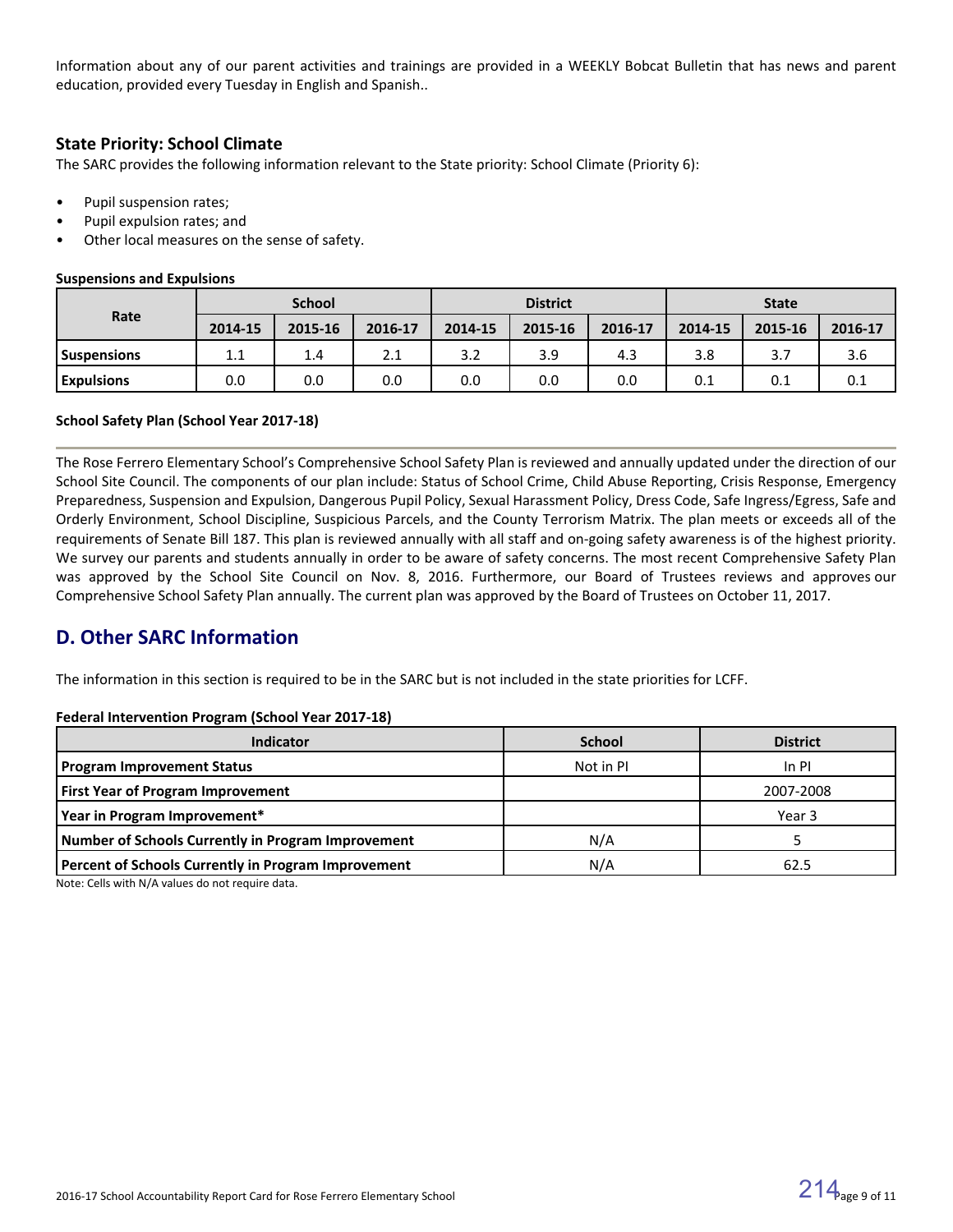Information about any of our parent activities and trainings are provided in a WEEKLY Bobcat Bulletin that has news and parent education, provided every Tuesday in English and Spanish..

### **State Priority: School Climate**

The SARC provides the following information relevant to the State priority: School Climate (Priority 6):

- Pupil suspension rates;
- Pupil expulsion rates; and
- Other local measures on the sense of safety.

#### **Suspensions and Expulsions**

|                   | <b>School</b> |         |         | <b>District</b> |         |         | <b>State</b> |         |         |
|-------------------|---------------|---------|---------|-----------------|---------|---------|--------------|---------|---------|
| Rate              | 2014-15       | 2015-16 | 2016-17 | 2014-15         | 2015-16 | 2016-17 | 2014-15      | 2015-16 | 2016-17 |
| l Suspensions     | 1.1           | 1.4     | 2.1     | 3.2             | 3.9     | 4.3     | 3.8          | 3.7     | 3.6     |
| <b>Expulsions</b> | 0.0           | 0.0     | 0.0     | 0.0             | 0.0     | 0.0     | 0.1          | 0.1     | 0.1     |

#### **School Safety Plan (School Year 2017-18)**

The Rose Ferrero Elementary School's Comprehensive School Safety Plan is reviewed and annually updated under the direction of our School Site Council. The components of our plan include: Status of School Crime, Child Abuse Reporting, Crisis Response, Emergency Preparedness, Suspension and Expulsion, Dangerous Pupil Policy, Sexual Harassment Policy, Dress Code, Safe Ingress/Egress, Safe and Orderly Environment, School Discipline, Suspicious Parcels, and the County Terrorism Matrix. The plan meets or exceeds all of the requirements of Senate Bill 187. This plan is reviewed annually with all staff and on-going safety awareness is of the highest priority. We survey our parents and students annually in order to be aware of safety concerns. The most recent Comprehensive Safety Plan was approved by the School Site Council on Nov. 8, 2016. Furthermore, our Board of Trustees reviews and approves our Comprehensive School Safety Plan annually. The current plan was approved by the Board of Trustees on October 11, 2017.

### **D. Other SARC Information**

The information in this section is required to be in the SARC but is not included in the state priorities for LCFF.

#### **Federal Intervention Program (School Year 2017-18)**

| <b>Indicator</b>                                          | <b>School</b> | <b>District</b> |
|-----------------------------------------------------------|---------------|-----------------|
| <b>Program Improvement Status</b>                         | Not in PI     | $In$ PI         |
| <b>First Year of Program Improvement</b>                  |               | 2007-2008       |
| Year in Program Improvement*                              |               | Year 3          |
| <b>Number of Schools Currently in Program Improvement</b> | N/A           |                 |
| Percent of Schools Currently in Program Improvement       | N/A           | 62.5            |

Note: Cells with N/A values do not require data.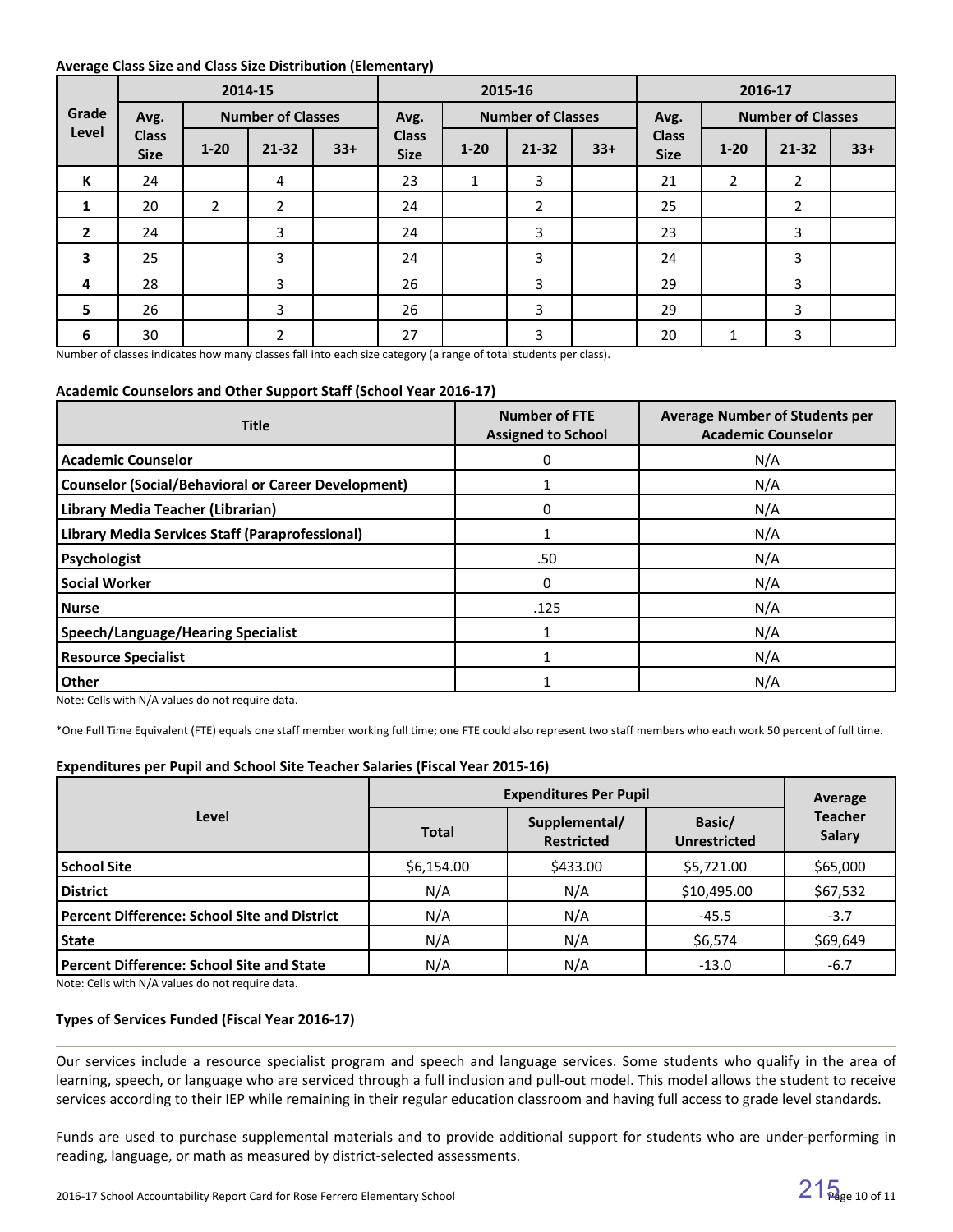#### **Average Class Size and Class Size Distribution (Elementary)**

|                         |                             | 2015-16<br>2014-15<br>2016-17 |                          |       |                             |          |                          |       |                             |                |                          |       |
|-------------------------|-----------------------------|-------------------------------|--------------------------|-------|-----------------------------|----------|--------------------------|-------|-----------------------------|----------------|--------------------------|-------|
| Grade                   | Avg.                        |                               | <b>Number of Classes</b> |       | Avg.                        |          | <b>Number of Classes</b> |       | Avg.                        |                | <b>Number of Classes</b> |       |
| Level                   | <b>Class</b><br><b>Size</b> | $1 - 20$                      | $21 - 32$                | $33+$ | <b>Class</b><br><b>Size</b> | $1 - 20$ | $21 - 32$                | $33+$ | <b>Class</b><br><b>Size</b> | $1 - 20$       | $21 - 32$                | $33+$ |
| K                       | 24                          |                               | 4                        |       | 23                          | 1        | 3                        |       | 21                          | $\overline{2}$ | $\overline{2}$           |       |
| 1                       | 20                          | $\overline{2}$                | $\overline{2}$           |       | 24                          |          | 2                        |       | 25                          |                | 2                        |       |
| $\overline{2}$          | 24                          |                               | 3                        |       | 24                          |          | 3                        |       | 23                          |                | 3                        |       |
| $\overline{\mathbf{3}}$ | 25                          |                               | 3                        |       | 24                          |          | 3                        |       | 24                          |                | 3                        |       |
| 4                       | 28                          |                               | 3                        |       | 26                          |          | 3                        |       | 29                          |                | 3                        |       |
| 5                       | 26                          |                               | 3                        |       | 26                          |          | 3                        |       | 29                          |                | 3                        |       |
| 6                       | 30                          |                               | 2                        |       | 27                          |          | 3                        |       | 20                          | 1              | 3                        |       |

Number of classes indicates how many classes fall into each size category (a range of total students per class).

#### **Academic Counselors and Other Support Staff (School Year 2016-17)**

| <b>Title</b>                                               | <b>Number of FTE</b><br><b>Assigned to School</b> | <b>Average Number of Students per</b><br><b>Academic Counselor</b> |
|------------------------------------------------------------|---------------------------------------------------|--------------------------------------------------------------------|
| <b>Academic Counselor</b>                                  | 0                                                 | N/A                                                                |
| <b>Counselor (Social/Behavioral or Career Development)</b> |                                                   | N/A                                                                |
| Library Media Teacher (Librarian)                          | 0                                                 | N/A                                                                |
| Library Media Services Staff (Paraprofessional)            |                                                   | N/A                                                                |
| Psychologist                                               | .50                                               | N/A                                                                |
| <b>Social Worker</b>                                       | $\Omega$                                          | N/A                                                                |
| <b>Nurse</b>                                               | .125                                              | N/A                                                                |
| <b>Speech/Language/Hearing Specialist</b>                  |                                                   | N/A                                                                |
| <b>Resource Specialist</b>                                 |                                                   | N/A                                                                |
| <b>Other</b>                                               |                                                   | N/A                                                                |

Note: Cells with N/A values do not require data.

\*One Full Time Equivalent (FTE) equals one staff member working full time; one FTE could also represent two staff members who each work 50 percent of full time.

#### **Expenditures per Pupil and School Site Teacher Salaries (Fiscal Year 2015-16)**

|                                                     | <b>Expenditures Per Pupil</b> | Average                            |                               |                                 |  |
|-----------------------------------------------------|-------------------------------|------------------------------------|-------------------------------|---------------------------------|--|
| Level                                               | <b>Total</b>                  | Supplemental/<br><b>Restricted</b> | Basic/<br><b>Unrestricted</b> | <b>Teacher</b><br><b>Salary</b> |  |
| <b>School Site</b>                                  | \$6,154.00                    | \$433.00                           | \$5,721.00                    | \$65,000                        |  |
| <b>District</b>                                     | N/A                           | N/A                                | \$10,495.00                   | \$67,532                        |  |
| <b>Percent Difference: School Site and District</b> | N/A                           | N/A                                | $-45.5$                       | $-3.7$                          |  |
| <b>State</b>                                        | N/A                           | N/A                                | \$6,574                       | \$69,649                        |  |
| <b>Percent Difference: School Site and State</b>    | N/A                           | N/A                                | $-13.0$                       | $-6.7$                          |  |

Note: Cells with N/A values do not require data.

#### **Types of Services Funded (Fiscal Year 2016-17)**

Our services include a resource specialist program and speech and language services. Some students who qualify in the area of learning, speech, or language who are serviced through a full inclusion and pull-out model. This model allows the student to receive services according to their IEP while remaining in their regular education classroom and having full access to grade level standards.

Funds are used to purchase supplemental materials and to provide additional support for students who are under-performing in reading, language, or math as measured by district-selected assessments.